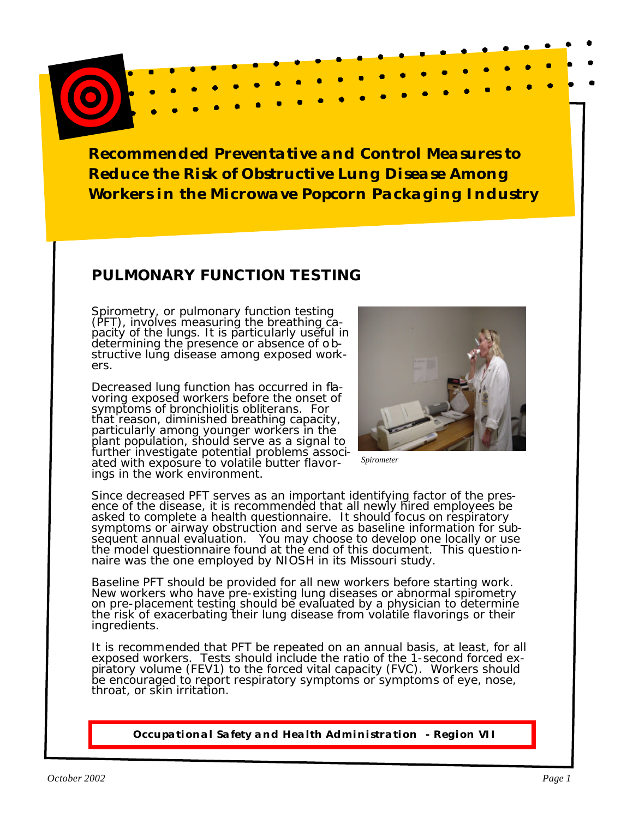### **PULMONARY FUNCTION TESTING**

Spirometry, or pulmonary function testing (PFT), involves measuring the breathing ca-<br>pacity of the lungs. It is particularly useful in<br>determining the presence or absence of ob-<br>structive lung disease among exposed work-<br>ers.

Decreased lung function has occurred in fla- voring exposed workers before the onset of symptoms of bronchiolitis obliterans. For that reason, diminished breathing capacity, particularly among younger workers in the plant population, should serve as a signal to further investigate potential problems associated with exposure to volatile butter flavor-<br>ings in the work environment.



*Spirometer* 

Since decreased PFT serves as an important identifying factor of the pres- ence of the disease, it is recommended that all newly hired employees be ence or the disease, it is recommended that all newly filed employees be<br>asked to complete a health questionnaire. It should focus on respiratory<br>symptoms or airway obstruction and serve as baseline information for sub-<br>se

Baseline PFT should be provided for all new workers before starting work. New workers who have pre-existing lung diseases or abnormal spirometry on pre-placement testing should be evaluated by a physician to determine the risk of exacerbating their lung disease from volatile flavorings or their ingredients.

It is recommended that PFT be repeated on an annual basis, at least, for all exposed workers. Tests should include the ratio of the 1-second forced expiratory volume (FEV1) to the forced vital capacity (FVC). Workers shoul be encouraged to report respiratory symptoms or symptoms of eye, nose, throat, or skin irritation.

**Occupational Safety and Health Administration - Region VII**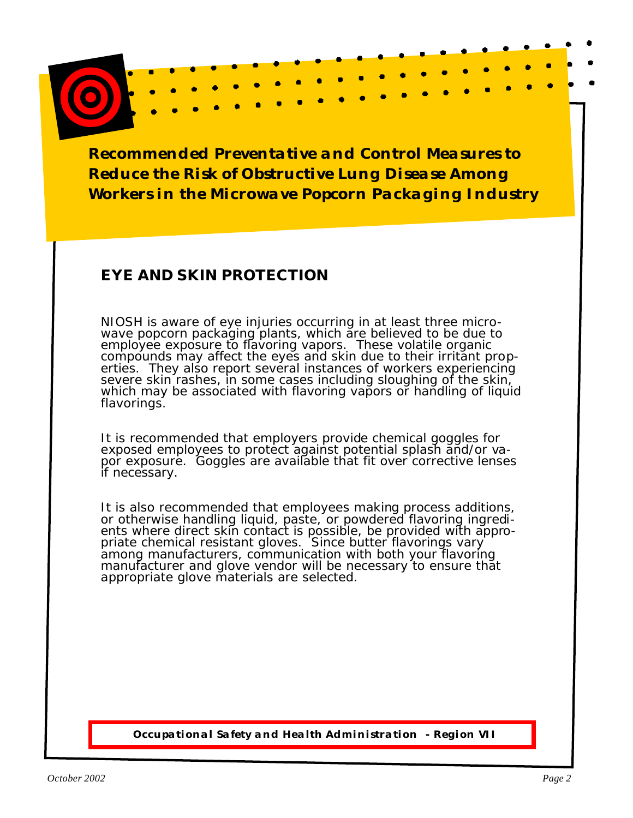# **EYE AND SKIN PROTECTION**

NIOSH is aware of eye injuries occurring in at least three micro- wave popcorn packaging plants, which are believed to be due to employee exposure to flavoring vapors. These volatile organic compounds may affect the eyes and skin due to their irritant prop-<br>erties. They also report several instances of workers experiencing severe skin rashes, in some cases including sloughing of the skin, which may be associated with flavoring vapors or handling of liquid flavorings.

It is recommended that employers provide chemical goggles for<br>exposed employees to protect against potential splash and/or vapor exposure. Goggles are available that fit over corrective lenses if necessary.

It is also recommended that employees making process additions, or otherwise handling liquid, paste, or powdered flavoring ingredients where direct skin contact is possible, be provided with appropriate chemical resistant among manufacturers, communication with both your flavoring manufacturer and glove vendor will be necessary to ensure that appropriate glove materials are selected.

**Occupational Safety and Health Administration - Region VII**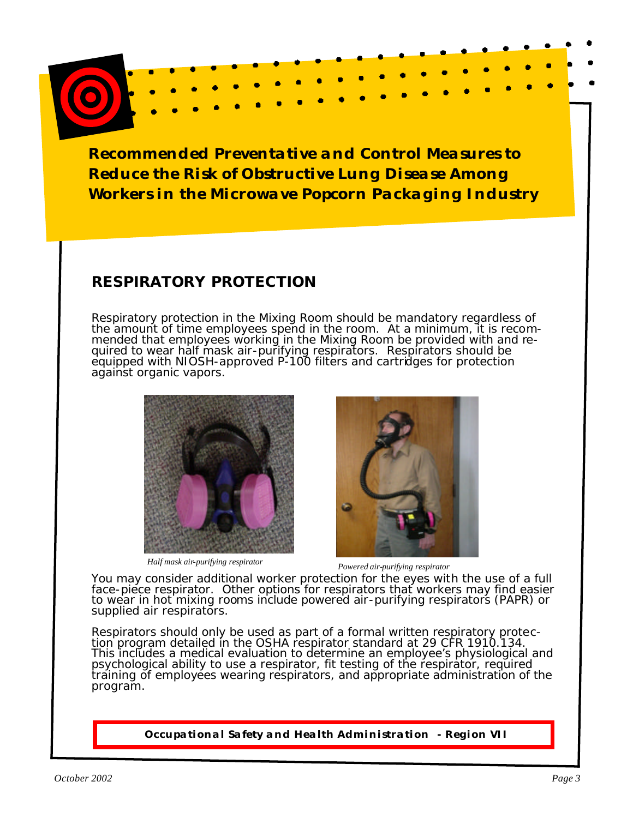# **RESPIRATORY PROTECTION**

Respiratory protection in the Mixing Room should be mandatory regardless of the amount of time employees spend in the room. At a minimum, it is recom-<br>mended that employees working in the Mixing Room be provided with and re-<br>quired to wear half mask air-purifying respirators. Respirators should be



*Half mask air-purifying respirator Powered air-purifying respirator* 



You may consider additional worker protection for the eyes with the use of a full face-piece respirator. Other options for respirators that workers may find easier<br>to wear in hot mixing rooms include powered air-purifying respirators (PAPR) or<br>supplied air respirators.

Respirators should only be used as part of a formal written respiratory protec-<br>tion program detailed in the OSHA respirator standard at 29 CFR 1910.134. This includes a medical evaluation to determine an employee's physiological and<br>psychological ability to use a respirator, fit testing of the respirator, required training of employees wearing respirators, and appropriate administration of the program.

**Occupational Safety and Health Administration - Region VII**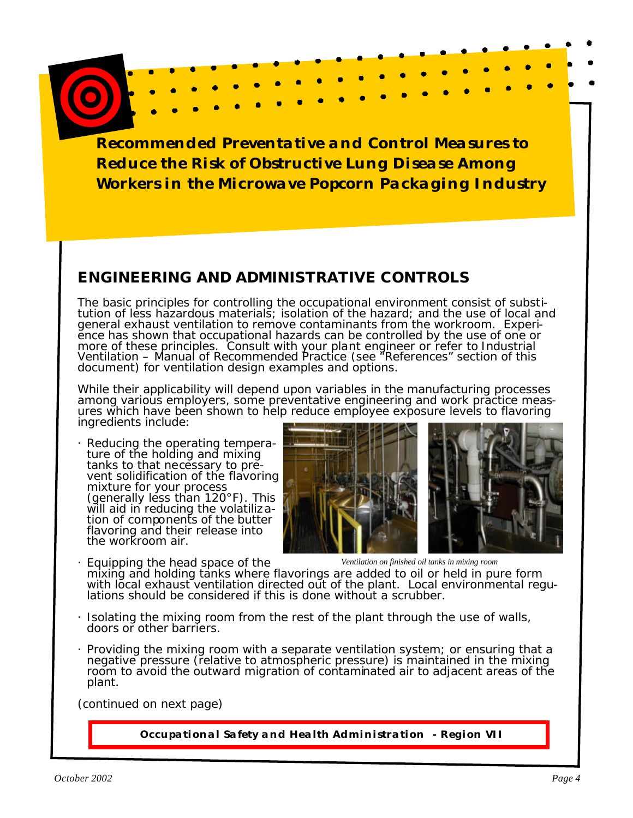# **ENGINEERING AND ADMINISTRATIVE CONTROLS**

The basic principles for controlling the occupational environment consist of substi- tution of less hazardous materials; isolation of the hazard; and the use of local and general exhaust ventilation to remove contaminants from the workroom. Experi-<br>ence has shown that occupational hazards can be controlled by the use of one or more of these principles. Consult with your plant engineer or refer to *Industrial Ventilation – Manual of Recommended Practice* (see "References" section of this document) for ventilation design examples and options.

While their applicability will depend upon variables in the manufacturing processes among various employers, some preventative engineering and work practice meas-<br>ures which have been shown to help reduce employee exposure levels to flavoring ingredients include:

- Reducing the operating tempera-<br>ture of the holding and mixing<br>tanks to that necessary to prevent solidification of the flavoring mixture for your process (generally less than  $120^{\circ}$ F). This will aid in reducing the volatiliza-<br>tion of components of the butter flavoring and their release into the workroom air.
- 
- 

· Equipping the head space of the *Ventilation on finished oil tanks in mixing room*  with local exhaust ventilation directed out of the plant. Local environmental regu-<br>lations should be considered if this is done without a scrubber.

- · Isolating the mixing room from the rest of the plant through the use of walls, doors or other barriers.
- · Providing the mixing room with a separate ventilation system; or ensuring that a negative pressure (relative to atmospheric pressure) is maintained in the mixing room to avoid the outward migration of contaminated air to adjacent areas of the plant.

(continued on next page)

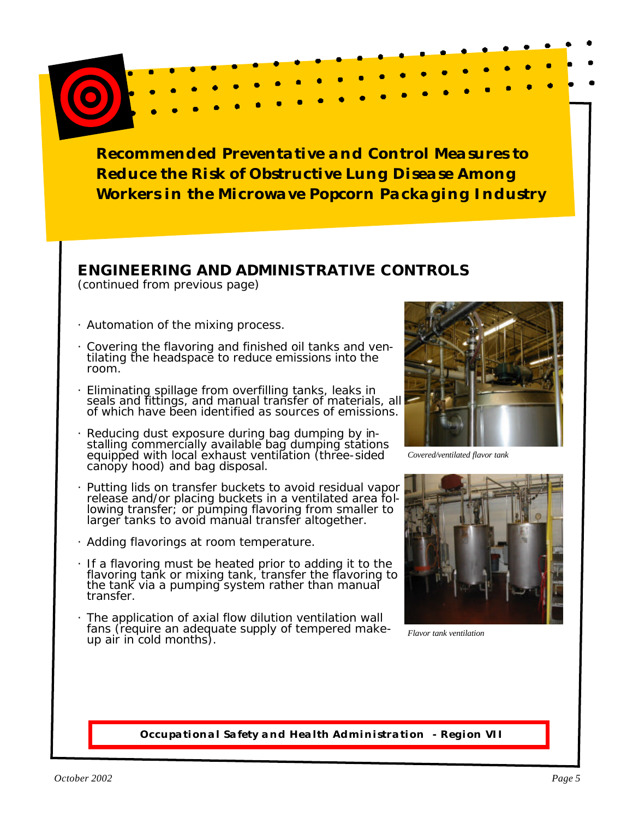### **ENGINEERING AND ADMINISTRATIVE CONTROLS**

(continued from previous page)

- · Automation of the mixing process.
- · Covering the flavoring and finished oil tanks and ven- tilating the headspace to reduce emissions into the room.
- Eliminating spillage from overfilling tanks, leaks in seals and fittings, and manual transfer of materials, all of which have been identified as sources of emissions.
- Reducing dust exposure during bag dumping by in-<br>stalling commercially available bag dumping stations<br>equipped with local exhaust ventilation (three-sided canopy hood) and bag disposal.
- · Putting lids on transfer buckets to avoid residual vapor release and/or placing buckets in a ventilated area fol-<br>lowing transfer; or pumping flavoring from smaller to larger tanks to avoid manual transfer altogether.
- · Adding flavorings at room temperature.
- · If a flavoring must be heated prior to adding it to the flavoring tank or mixing tank, transfer the flavoring to the tank via a pumping system rather than manual transfer.
- · The application of axial flow dilution ventilation wall fans (require an adequate supply of tempered make- up air in cold months).



*Covered/ventilated flavor tank* 



*Flavor tank ventilation* 

### **Occupational Safety and Health Administration - Region VII**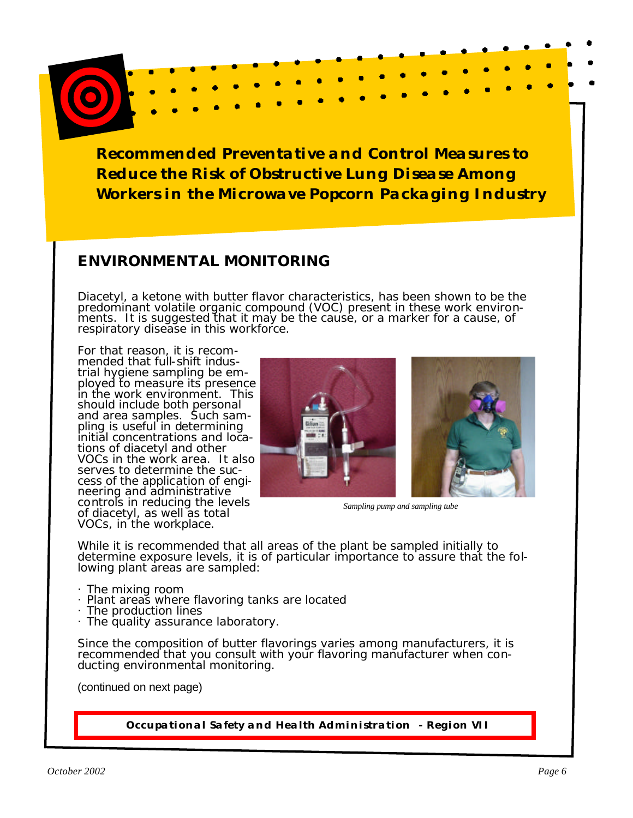## **ENVIRONMENTAL MONITORING**

Diacetyl, a ketone with butter flavor characteristics, has been shown to be the predominant volatile organic compound (VOC) present in these work environ- ments. It is suggested that it may be the cause, or a marker for a cause, of respiratory disease in this workforce.

For that reason, it is recom-<br>mended that full-shift indus-<br>trial hygiene sampling be em-<br>ployed to measure its presence in the work environment. This should include both personal and area samples. Such sam-<br>pling is useful in determining<br>initial concentrations and loca-<br>tions of diacetyl and other VOCs in the work area. It also<br>serves to determine the success of the application of engi-<br>neering and administrative controls in reducing the levels *Sampling pump and sampling tube* of diacetyl, as well as total VOCs, in the workplace.



While it is recommended that all areas of the plant be sampled initially to determine exposure levels, it is of particular importance to assure that the fol-<br>lowing plant areas are sampled:

- · The mixing room
- · Plant areas where flavoring tanks are located
- · The production lines
- · The quality assurance laboratory.

Since the composition of butter flavorings varies among manufacturers, it is recommended that you consult with your flavoring manufacturer when con-<br>ducting environmental monitoring.

(continued on next page)

**Occupational Safety and Health Administration - Region VII**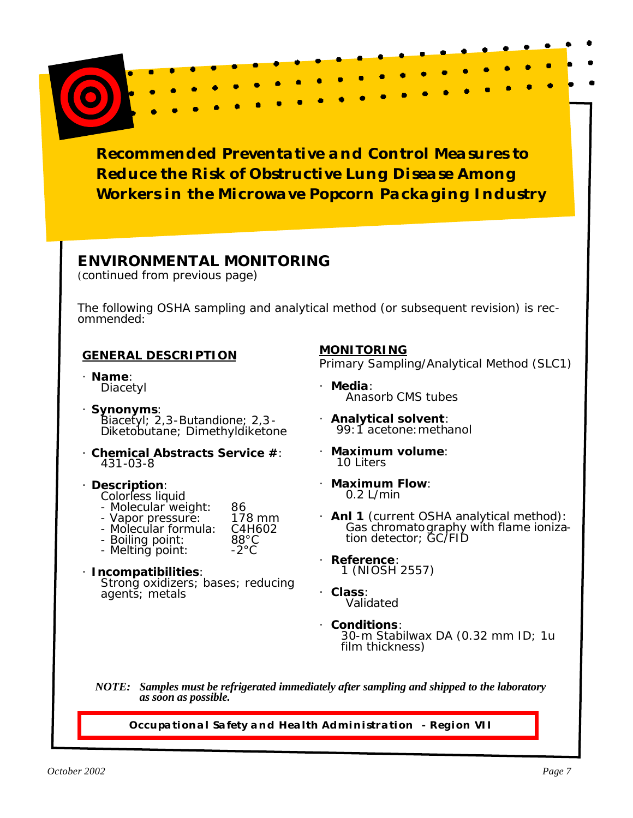### **ENVIRONMENTAL MONITORING**

(continued from previous page)

The following OSHA sampling and analytical method (or subsequent revision) is rec- ommended:

### **GENERAL DESCRIPTION**

- · **Name**: Diacetyl
- · **Synonyms**:<br>Biacetyl; 2,3-Butandione; 2,3-Diketobutane; Dimethyldiketone
- · **Chemical Abstracts Service #**: 431-03-8
- · **Description**:
	- Colorless liquid<br>- Molecular weight:
	-
	- Molecular weight: 86<br>- Vapor pressure: 178 mm<br>- Molecular formula: C4H602<br>- Boiling point: 88°C<br>- Melting point: -2°C
	-
	-
- · **Incompatibilities**: Strong oxidizers; bases; reducing agents; metals

### **MONITORING**

Primary Sampling/Analytical Method (SLC1)

- · **Media**: Anasorb CMS tubes
- · **Analytical solvent**: 99:1 acetone:methanol
- · **Maximum volume**: 10 Liters
- · **Maximum Flow**: 0.2 L/min
- · **Anl 1** (current OSHA analytical method): Gas chromatography with flame ioniza- tion detector; GC/FID
- · **Reference**: 1 (NIOSH 2557)
- · **Class**: Validated
- · **Conditions**: 30-m Stabilwax DA (0.32 mm ID; 1u film thickness)

 *NOTE: Samples must be refrigerated immediately after sampling and shipped to the laboratory as soon as possible.* 

**Occupational Safety and Health Administration - Region VII**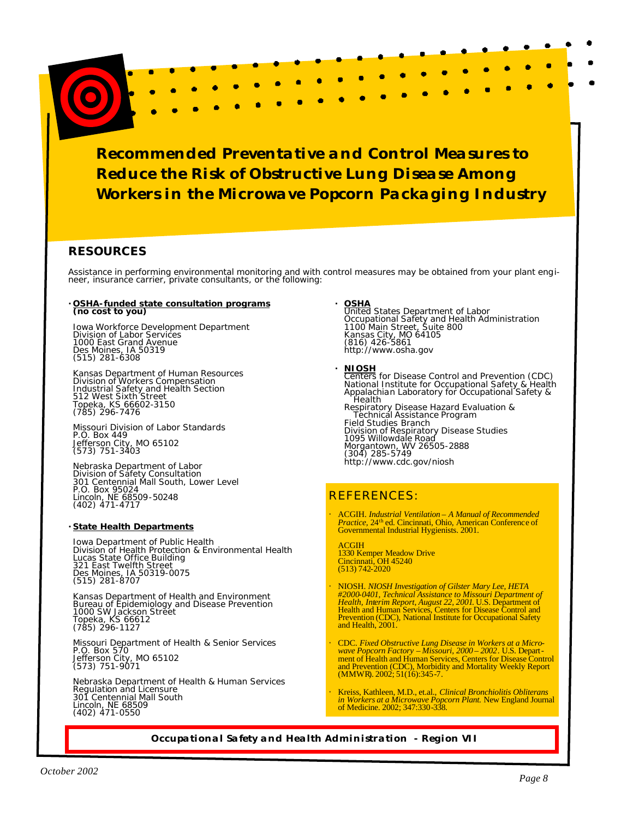n

c

### **RESOURCES**

Assistance in performing environmental monitoring and with control measures may be obtained from your plant engi-<br>neer, insurance carrier, private consultants, or the following:

## **· OSHA-funded state consultation programs (no cost to you)**

Iowa Workforce Development Department Division of Labor Services 1000 East Grand Avenue Des Moines, IA 50319 (515) 281-6308

Kansas Department of Human Resources Division of Workers Compensation Industrial Safety and Health Section 512 West Sixth Street Topeka, KS 66602-3150 (785) 296-7476

Missouri Division of Labor Standards P.O. Box 449 Jefferson City, MO 65102 (573) 751-3403

Nebraska Department of Labor Division of Safety Consultation 301 Centennial Mall South, Lower Level P.O. Box 95024 Lincoln, NE 68509-50248 (402) 471-4717

#### **· State Health Departments**

Iowa Department of Public Health Division of Health Protection & Environmental Health Lucas State Office Building 321 East Twelfth Street Des Moines, IA 50319-0075 (515) 281-8707

Kansas Department of Health and Environment Bureau of Epidemiology and Disease Prevention Topeka, KS 66612 (785) 296-1127

Missouri Department of Health & Senior Services P.O. Box 570 Jefferson City, MO 65102 (573) 751-9071

Nebraska Department of Health & Human Services Regulation and Licensure 301 Centennial Mall South Lincoln, NE 68509 (402) 471-0550

- **· OSHA**<br>
United States Department of Labor<br>
Occupational Safety and Health Administration<br>
1100 Main Street, Suite 800<br>
Kansas City, MO 64105<br>
(816) 426-5861<br> <http://www.osha.gov>
- **NIOSH**<br>
Centers for Disease Control and Prevention (CDC)<br>
National Institute for Occupational Safety & Health<br>
Appalachian Laboratory for Occupational Safety &<br>
Health Fealth<br>Respiratory Disease Hazard Evaluation &<br>Technical Assistance Program<br>Field Studies Branch Division of Respiratory Disease Studies 1095 Willowdale Road Morgantown, WV 26505-2888 (304) 285-5749 <http://www.cdc.gov/niosh>

### REFERENCES:

· ACGIH. *Industrial Ventilation – A Manual of Recommended Practice,* 24th ed. Cincinnati, Ohio, American Conference of Governmental Industrial Hygienists. 2001.

ACGIH 1330 Kemper Meadow Drive Cincinnati, OH 45240 (513) 742-2020

- · NIOSH. *NIOSH Investigation of Gilster Mary Lee, HETA* #2000-0401, Technical Assistance to Missouri Department of Health, Interim Report, August 22, 2001. U.S. Department of Health and Human Services, Centers for Disease Control and Prevention (CDC), National Institute for Occ
- CDC. Fixed Obstructive Lung Disease in Workers at a Microwave Popcorn Factory Missouri, 2000 2002. U.S. Department of Health and Human Services, Centers for Disease Control and Prevention (CDC), Morbidity and Mortalit
- · Kreiss, Kathleen, M.D., et.al., *Clinical Bronchiolitis Obliterans in Workers at a Microwave Popcorn Plant.* New England Journal of Medicine. 2002; 347:330-338.

#### **Occupational Safety and Health Administration - Region VII**

Page 8

×

п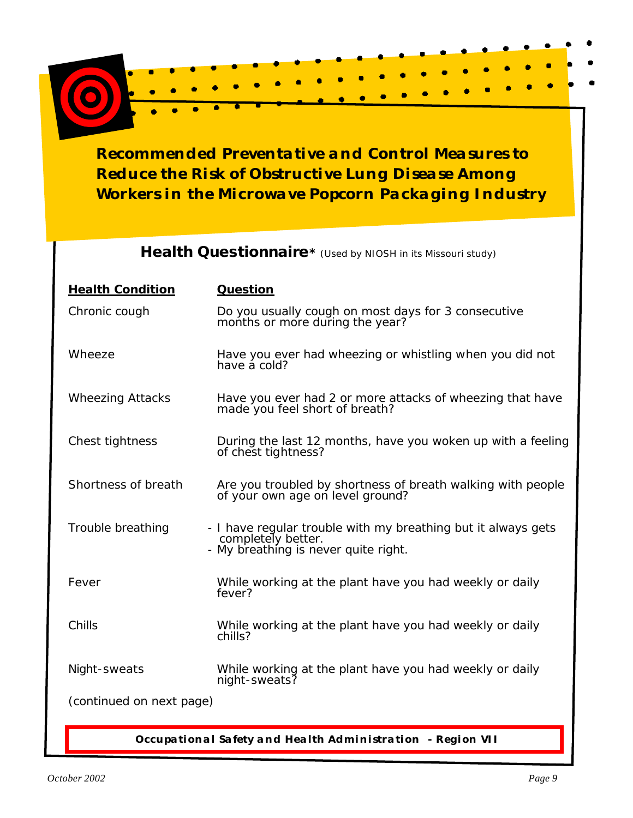## **Health Questionnaire\*** (Used by NIOSH in its Missouri study)

| <b>Health Condition</b>  | <b>Question</b>                                                                                                             |  |
|--------------------------|-----------------------------------------------------------------------------------------------------------------------------|--|
| Chronic cough            | Do you usually cough on most days for 3 consecutive<br>months or more during the year?                                      |  |
| Wheeze                   | Have you ever had wheezing or whistling when you did not<br>have a cold?                                                    |  |
| <b>Wheezing Attacks</b>  | Have you ever had 2 or more attacks of wheezing that have<br>made you feel short of breath?                                 |  |
| Chest tightness          | During the last 12 months, have you woken up with a feeling<br>of chest tightness?                                          |  |
| Shortness of breath      | Are you troubled by shortness of breath walking with people<br>of your own age on level ground?                             |  |
| Trouble breathing        | - I have regular trouble with my breathing but it always gets<br>completely better.<br>- My breathing is never quite right. |  |
| Fever                    | While working at the plant have you had weekly or daily<br>fever?                                                           |  |
| Chills                   | While working at the plant have you had weekly or daily<br>chills?                                                          |  |
| Night-sweats             | While working at the plant have you had weekly or daily<br>night-sweats?                                                    |  |
| (continued on next page) |                                                                                                                             |  |

**Occupational Safety and Health Administration - Region VII**